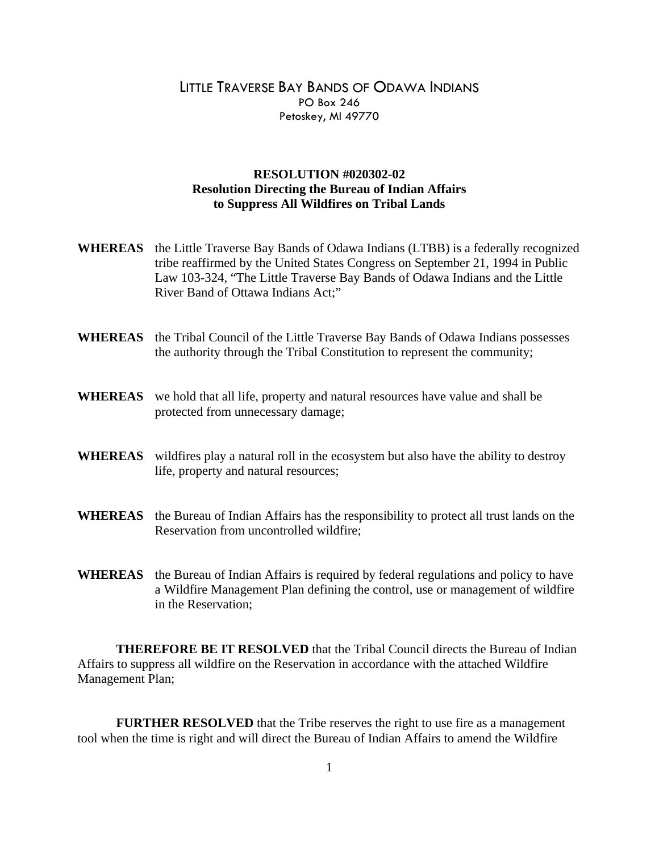## LITTLE TRAVERSE BAY BANDS OF ODAWA INDIANS PO Box 246 Petoskey, MI 49770

## **RESOLUTION #020302-02 Resolution Directing the Bureau of Indian Affairs to Suppress All Wildfires on Tribal Lands**

- **WHEREAS** the Little Traverse Bay Bands of Odawa Indians (LTBB) is a federally recognized tribe reaffirmed by the United States Congress on September 21, 1994 in Public Law 103-324, "The Little Traverse Bay Bands of Odawa Indians and the Little River Band of Ottawa Indians Act;"
- **WHEREAS** the Tribal Council of the Little Traverse Bay Bands of Odawa Indians possesses the authority through the Tribal Constitution to represent the community;
- **WHEREAS** we hold that all life, property and natural resources have value and shall be protected from unnecessary damage;
- **WHEREAS** wildfires play a natural roll in the ecosystem but also have the ability to destroy life, property and natural resources;
- **WHEREAS** the Bureau of Indian Affairs has the responsibility to protect all trust lands on the Reservation from uncontrolled wildfire;
- **WHEREAS** the Bureau of Indian Affairs is required by federal regulations and policy to have a Wildfire Management Plan defining the control, use or management of wildfire in the Reservation;

**THEREFORE BE IT RESOLVED** that the Tribal Council directs the Bureau of Indian Affairs to suppress all wildfire on the Reservation in accordance with the attached Wildfire Management Plan;

**FURTHER RESOLVED** that the Tribe reserves the right to use fire as a management tool when the time is right and will direct the Bureau of Indian Affairs to amend the Wildfire